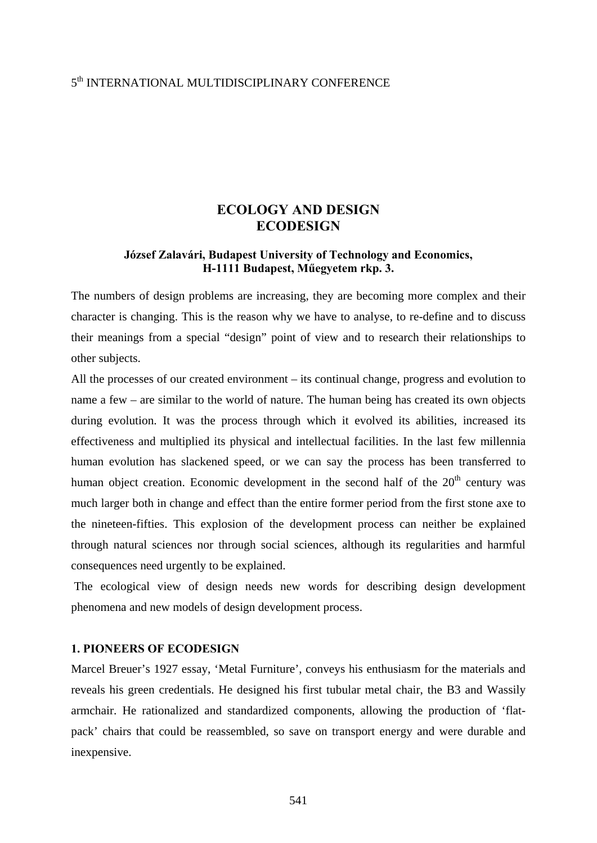## 5th INTERNATIONAL MULTIDISCIPLINARY CONFERENCE

# **ECOLOGY AND DESIGN ECODESIGN**

### **József Zalavári, Budapest University of Technology and Economics, H-1111 Budapest, Műegyetem rkp. 3.**

The numbers of design problems are increasing, they are becoming more complex and their character is changing. This is the reason why we have to analyse, to re-define and to discuss their meanings from a special "design" point of view and to research their relationships to other subjects.

All the processes of our created environment – its continual change, progress and evolution to name a few – are similar to the world of nature. The human being has created its own objects during evolution. It was the process through which it evolved its abilities, increased its effectiveness and multiplied its physical and intellectual facilities. In the last few millennia human evolution has slackened speed, or we can say the process has been transferred to human object creation. Economic development in the second half of the 20<sup>th</sup> century was much larger both in change and effect than the entire former period from the first stone axe to the nineteen-fifties. This explosion of the development process can neither be explained through natural sciences nor through social sciences, although its regularities and harmful consequences need urgently to be explained.

 The ecological view of design needs new words for describing design development phenomena and new models of design development process.

### **1. PIONEERS OF ECODESIGN**

Marcel Breuer's 1927 essay, 'Metal Furniture', conveys his enthusiasm for the materials and reveals his green credentials. He designed his first tubular metal chair, the B3 and Wassily armchair. He rationalized and standardized components, allowing the production of 'flatpack' chairs that could be reassembled, so save on transport energy and were durable and inexpensive.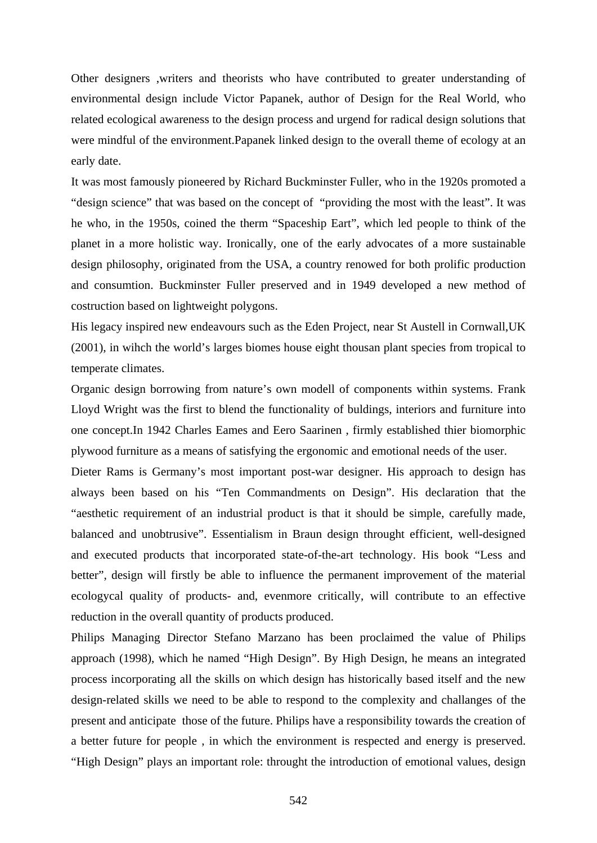Other designers ,writers and theorists who have contributed to greater understanding of environmental design include Victor Papanek, author of Design for the Real World, who related ecological awareness to the design process and urgend for radical design solutions that were mindful of the environment.Papanek linked design to the overall theme of ecology at an early date.

It was most famously pioneered by Richard Buckminster Fuller, who in the 1920s promoted a "design science" that was based on the concept of "providing the most with the least". It was he who, in the 1950s, coined the therm "Spaceship Eart", which led people to think of the planet in a more holistic way. Ironically, one of the early advocates of a more sustainable design philosophy, originated from the USA, a country renowed for both prolific production and consumtion. Buckminster Fuller preserved and in 1949 developed a new method of costruction based on lightweight polygons.

His legacy inspired new endeavours such as the Eden Project, near St Austell in Cornwall,UK (2001), in wihch the world's larges biomes house eight thousan plant species from tropical to temperate climates.

Organic design borrowing from nature's own modell of components within systems. Frank Lloyd Wright was the first to blend the functionality of buldings, interiors and furniture into one concept.In 1942 Charles Eames and Eero Saarinen , firmly established thier biomorphic plywood furniture as a means of satisfying the ergonomic and emotional needs of the user.

Dieter Rams is Germany's most important post-war designer. His approach to design has always been based on his "Ten Commandments on Design". His declaration that the "aesthetic requirement of an industrial product is that it should be simple, carefully made, balanced and unobtrusive". Essentialism in Braun design throught efficient, well-designed and executed products that incorporated state-of-the-art technology. His book "Less and better", design will firstly be able to influence the permanent improvement of the material ecologycal quality of products- and, evenmore critically, will contribute to an effective reduction in the overall quantity of products produced.

Philips Managing Director Stefano Marzano has been proclaimed the value of Philips approach (1998), which he named "High Design". By High Design, he means an integrated process incorporating all the skills on which design has historically based itself and the new design-related skills we need to be able to respond to the complexity and challanges of the present and anticipate those of the future. Philips have a responsibility towards the creation of a better future for people , in which the environment is respected and energy is preserved. "High Design" plays an important role: throught the introduction of emotional values, design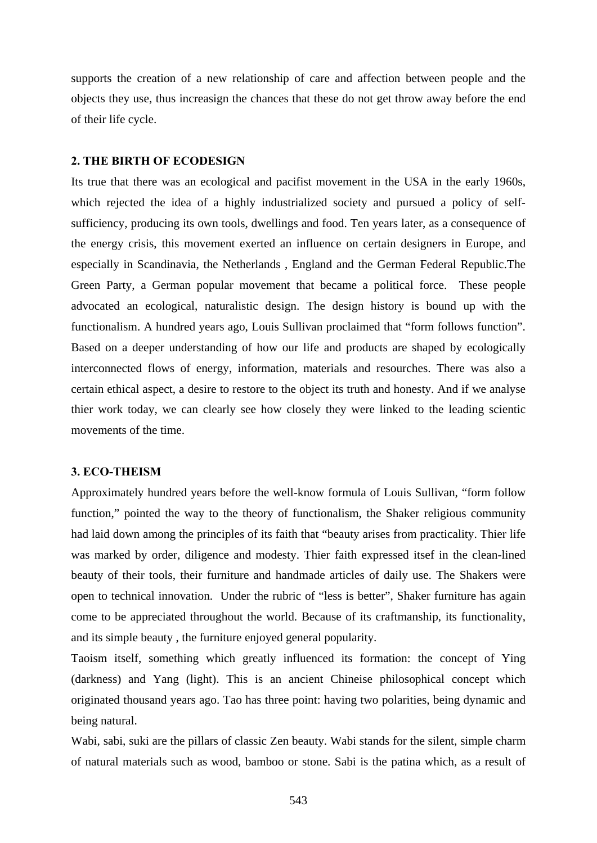supports the creation of a new relationship of care and affection between people and the objects they use, thus increasign the chances that these do not get throw away before the end of their life cycle.

### **2. THE BIRTH OF ECODESIGN**

Its true that there was an ecological and pacifist movement in the USA in the early 1960s, which rejected the idea of a highly industrialized society and pursued a policy of selfsufficiency, producing its own tools, dwellings and food. Ten years later, as a consequence of the energy crisis, this movement exerted an influence on certain designers in Europe, and especially in Scandinavia, the Netherlands , England and the German Federal Republic.The Green Party, a German popular movement that became a political force. These people advocated an ecological, naturalistic design. The design history is bound up with the functionalism. A hundred years ago, Louis Sullivan proclaimed that "form follows function". Based on a deeper understanding of how our life and products are shaped by ecologically interconnected flows of energy, information, materials and resourches. There was also a certain ethical aspect, a desire to restore to the object its truth and honesty. And if we analyse thier work today, we can clearly see how closely they were linked to the leading scientic movements of the time.

#### **3. ECO-THEISM**

Approximately hundred years before the well-know formula of Louis Sullivan, "form follow function," pointed the way to the theory of functionalism, the Shaker religious community had laid down among the principles of its faith that "beauty arises from practicality. Thier life was marked by order, diligence and modesty. Thier faith expressed itsef in the clean-lined beauty of their tools, their furniture and handmade articles of daily use. The Shakers were open to technical innovation. Under the rubric of "less is better", Shaker furniture has again come to be appreciated throughout the world. Because of its craftmanship, its functionality, and its simple beauty , the furniture enjoyed general popularity.

Taoism itself, something which greatly influenced its formation: the concept of Ying (darkness) and Yang (light). This is an ancient Chineise philosophical concept which originated thousand years ago. Tao has three point: having two polarities, being dynamic and being natural.

Wabi, sabi, suki are the pillars of classic Zen beauty. Wabi stands for the silent, simple charm of natural materials such as wood, bamboo or stone. Sabi is the patina which, as a result of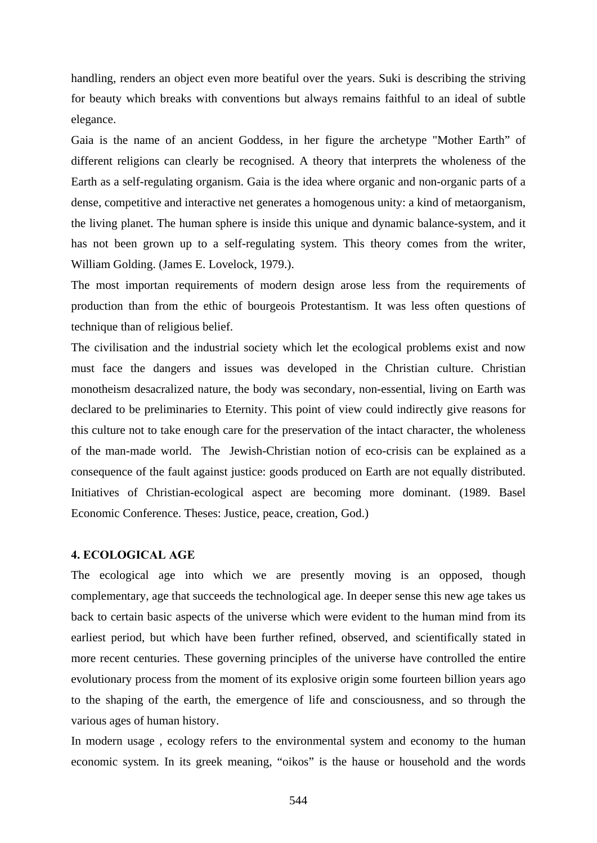handling, renders an object even more beatiful over the years. Suki is describing the striving for beauty which breaks with conventions but always remains faithful to an ideal of subtle elegance.

Gaia is the name of an ancient Goddess, in her figure the archetype "Mother Earth" of different religions can clearly be recognised. A theory that interprets the wholeness of the Earth as a self-regulating organism. Gaia is the idea where organic and non-organic parts of a dense, competitive and interactive net generates a homogenous unity: a kind of metaorganism, the living planet. The human sphere is inside this unique and dynamic balance-system, and it has not been grown up to a self-regulating system. This theory comes from the writer, William Golding. (James E. Lovelock, 1979.).

The most importan requirements of modern design arose less from the requirements of production than from the ethic of bourgeois Protestantism. It was less often questions of technique than of religious belief.

The civilisation and the industrial society which let the ecological problems exist and now must face the dangers and issues was developed in the Christian culture. Christian monotheism desacralized nature, the body was secondary, non-essential, living on Earth was declared to be preliminaries to Eternity. This point of view could indirectly give reasons for this culture not to take enough care for the preservation of the intact character, the wholeness of the man-made world. The Jewish-Christian notion of eco-crisis can be explained as a consequence of the fault against justice: goods produced on Earth are not equally distributed. Initiatives of Christian-ecological aspect are becoming more dominant. (1989. Basel Economic Conference. Theses: Justice, peace, creation, God.)

### **4. ECOLOGICAL AGE**

The ecological age into which we are presently moving is an opposed, though complementary, age that succeeds the technological age. In deeper sense this new age takes us back to certain basic aspects of the universe which were evident to the human mind from its earliest period, but which have been further refined, observed, and scientifically stated in more recent centuries. These governing principles of the universe have controlled the entire evolutionary process from the moment of its explosive origin some fourteen billion years ago to the shaping of the earth, the emergence of life and consciousness, and so through the various ages of human history.

In modern usage , ecology refers to the environmental system and economy to the human economic system. In its greek meaning, "oikos" is the hause or household and the words

544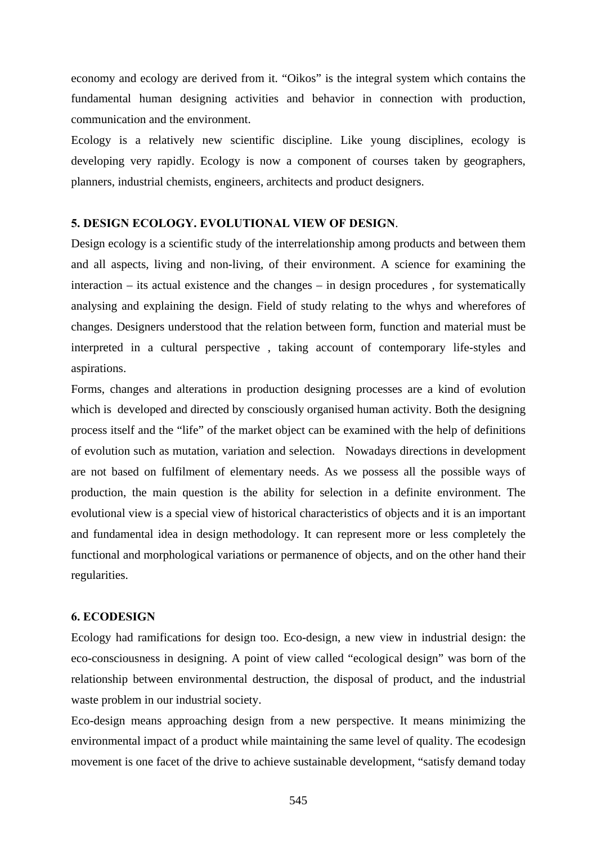economy and ecology are derived from it. "Oikos" is the integral system which contains the fundamental human designing activities and behavior in connection with production, communication and the environment.

Ecology is a relatively new scientific discipline. Like young disciplines, ecology is developing very rapidly. Ecology is now a component of courses taken by geographers, planners, industrial chemists, engineers, architects and product designers.

#### **5. DESIGN ECOLOGY. EVOLUTIONAL VIEW OF DESIGN**.

Design ecology is a scientific study of the interrelationship among products and between them and all aspects, living and non-living, of their environment. A science for examining the interaction – its actual existence and the changes – in design procedures , for systematically analysing and explaining the design. Field of study relating to the whys and wherefores of changes. Designers understood that the relation between form, function and material must be interpreted in a cultural perspective , taking account of contemporary life-styles and aspirations.

Forms, changes and alterations in production designing processes are a kind of evolution which is developed and directed by consciously organised human activity. Both the designing process itself and the "life" of the market object can be examined with the help of definitions of evolution such as mutation, variation and selection. Nowadays directions in development are not based on fulfilment of elementary needs. As we possess all the possible ways of production, the main question is the ability for selection in a definite environment. The evolutional view is a special view of historical characteristics of objects and it is an important and fundamental idea in design methodology. It can represent more or less completely the functional and morphological variations or permanence of objects, and on the other hand their regularities.

### **6. ECODESIGN**

Ecology had ramifications for design too. Eco-design, a new view in industrial design: the eco-consciousness in designing. A point of view called "ecological design" was born of the relationship between environmental destruction, the disposal of product, and the industrial waste problem in our industrial society.

Eco-design means approaching design from a new perspective. It means minimizing the environmental impact of a product while maintaining the same level of quality. The ecodesign movement is one facet of the drive to achieve sustainable development, "satisfy demand today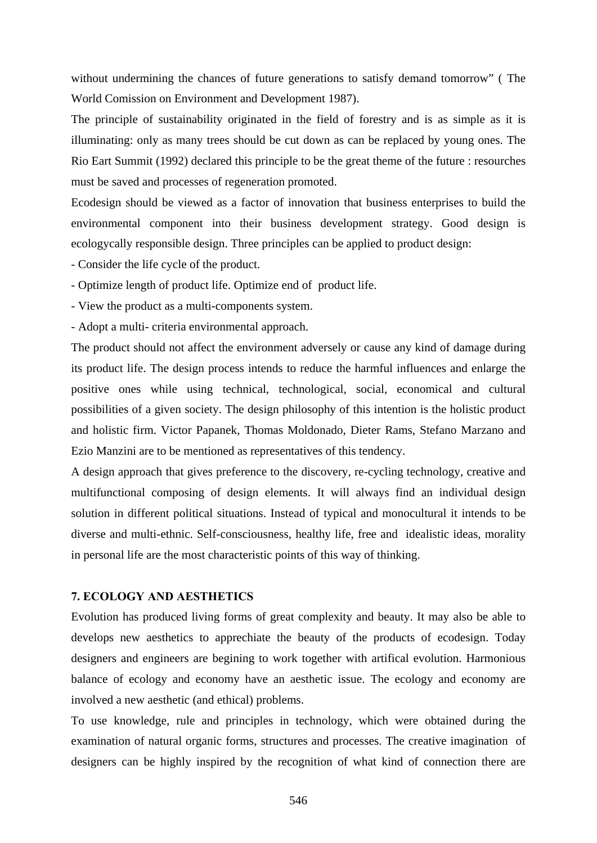without undermining the chances of future generations to satisfy demand tomorrow" ( The World Comission on Environment and Development 1987).

The principle of sustainability originated in the field of forestry and is as simple as it is illuminating: only as many trees should be cut down as can be replaced by young ones. The Rio Eart Summit (1992) declared this principle to be the great theme of the future : resourches must be saved and processes of regeneration promoted.

Ecodesign should be viewed as a factor of innovation that business enterprises to build the environmental component into their business development strategy. Good design is ecologycally responsible design. Three principles can be applied to product design:

- Consider the life cycle of the product.
- Optimize length of product life. Optimize end of product life.
- View the product as a multi-components system.
- Adopt a multi- criteria environmental approach.

The product should not affect the environment adversely or cause any kind of damage during its product life. The design process intends to reduce the harmful influences and enlarge the positive ones while using technical, technological, social, economical and cultural possibilities of a given society. The design philosophy of this intention is the holistic product and holistic firm. Victor Papanek, Thomas Moldonado, Dieter Rams, Stefano Marzano and Ezio Manzini are to be mentioned as representatives of this tendency.

A design approach that gives preference to the discovery, re-cycling technology, creative and multifunctional composing of design elements. It will always find an individual design solution in different political situations. Instead of typical and monocultural it intends to be diverse and multi-ethnic. Self-consciousness, healthy life, free and idealistic ideas, morality in personal life are the most characteristic points of this way of thinking.

### **7. ECOLOGY AND AESTHETICS**

Evolution has produced living forms of great complexity and beauty. It may also be able to develops new aesthetics to apprechiate the beauty of the products of ecodesign. Today designers and engineers are begining to work together with artifical evolution. Harmonious balance of ecology and economy have an aesthetic issue. The ecology and economy are involved a new aesthetic (and ethical) problems.

To use knowledge, rule and principles in technology, which were obtained during the examination of natural organic forms, structures and processes. The creative imagination of designers can be highly inspired by the recognition of what kind of connection there are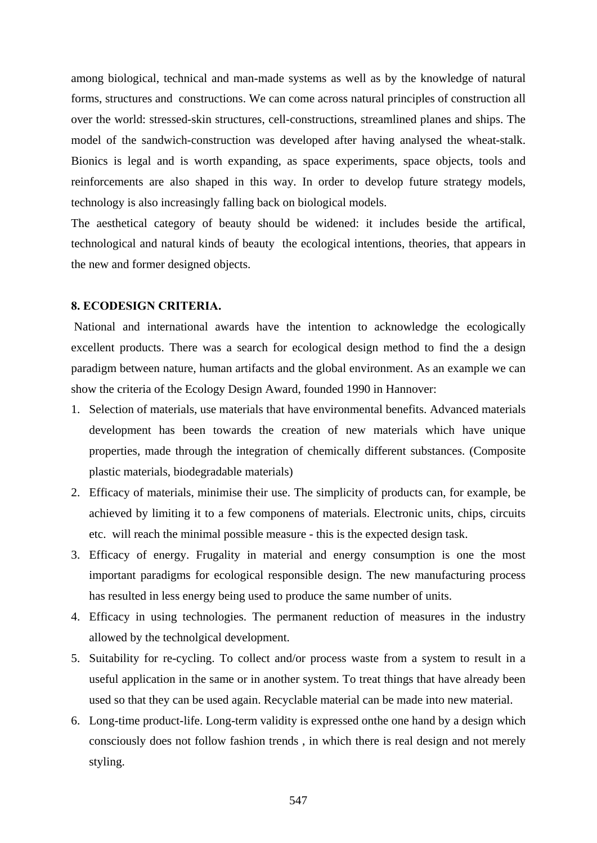among biological, technical and man-made systems as well as by the knowledge of natural forms, structures and constructions. We can come across natural principles of construction all over the world: stressed-skin structures, cell-constructions, streamlined planes and ships. The model of the sandwich-construction was developed after having analysed the wheat-stalk. Bionics is legal and is worth expanding, as space experiments, space objects, tools and reinforcements are also shaped in this way. In order to develop future strategy models, technology is also increasingly falling back on biological models.

The aesthetical category of beauty should be widened: it includes beside the artifical, technological and natural kinds of beauty the ecological intentions, theories, that appears in the new and former designed objects.

#### **8. ECODESIGN CRITERIA.**

National and international awards have the intention to acknowledge the ecologically excellent products. There was a search for ecological design method to find the a design paradigm between nature, human artifacts and the global environment. As an example we can show the criteria of the Ecology Design Award, founded 1990 in Hannover:

- 1. Selection of materials, use materials that have environmental benefits. Advanced materials development has been towards the creation of new materials which have unique properties, made through the integration of chemically different substances. (Composite plastic materials, biodegradable materials)
- 2. Efficacy of materials, minimise their use. The simplicity of products can, for example, be achieved by limiting it to a few componens of materials. Electronic units, chips, circuits etc. will reach the minimal possible measure - this is the expected design task.
- 3. Efficacy of energy. Frugality in material and energy consumption is one the most important paradigms for ecological responsible design. The new manufacturing process has resulted in less energy being used to produce the same number of units.
- 4. Efficacy in using technologies. The permanent reduction of measures in the industry allowed by the technolgical development.
- 5. Suitability for re-cycling. To collect and/or process waste from a system to result in a useful application in the same or in another system. To treat things that have already been used so that they can be used again. Recyclable material can be made into new material.
- 6. Long-time product-life. Long-term validity is expressed onthe one hand by a design which consciously does not follow fashion trends , in which there is real design and not merely styling.